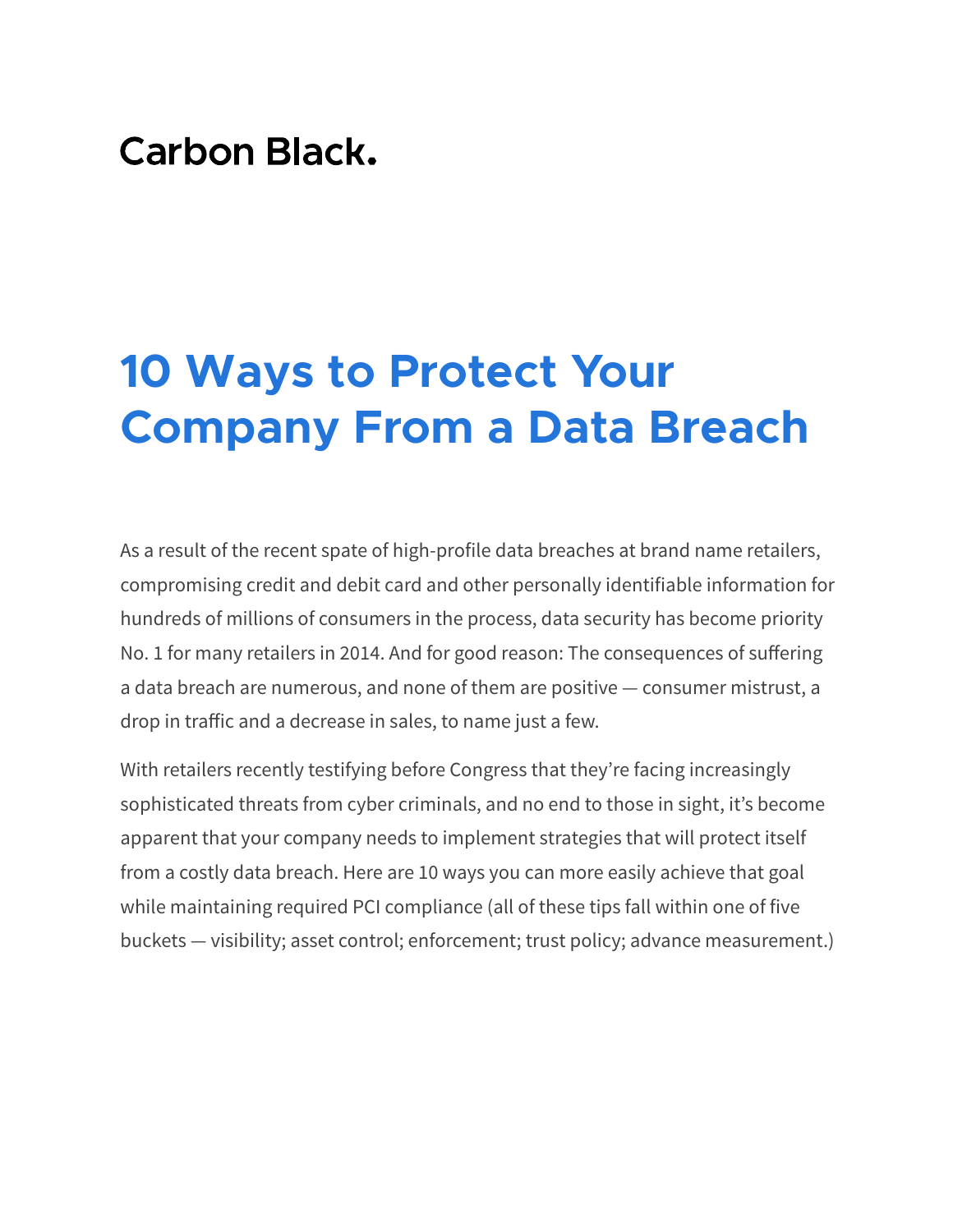# **Carbon Black.**

# **10 Ways to Protect Your Company From a Data Breach**

As a result of the recent spate of high-profile data breaches at brand name retailers, compromising credit and debit card and other personally identifiable information for hundreds of millions of consumers in the process, data security has become priority No. 1 for many retailers in 2014. And for good reason: The consequences of suffering a data breach are numerous, and none of them are positive — consumer mistrust, a drop in traffic and a decrease in sales, to name just a few.

With retailers recently testifying before Congress that they're facing increasingly sophisticated threats from cyber criminals, and no end to those in sight, it's become apparent that your company needs to implement strategies that will protect itself from a costly data breach. Here are 10 ways you can more easily achieve that goal while maintaining required PCI compliance (all of these tips fall within one of five buckets — visibility; asset control; enforcement; trust policy; advance measurement.)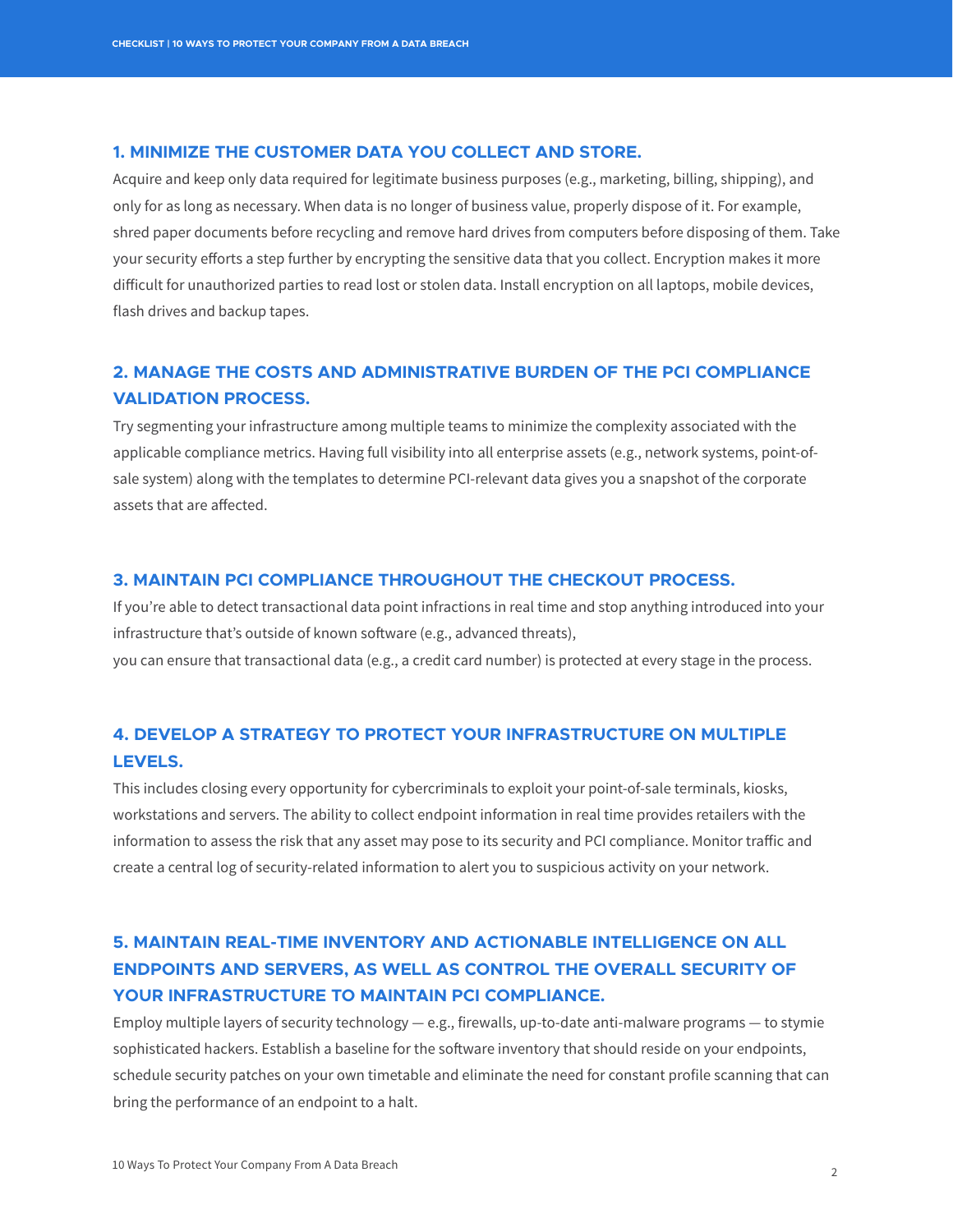#### **1. MINIMIZE THE CUSTOMER DATA YOU COLLECT AND STORE.**

Acquire and keep only data required for legitimate business purposes (e.g., marketing, billing, shipping), and only for as long as necessary. When data is no longer of business value, properly dispose of it. For example, shred paper documents before recycling and remove hard drives from computers before disposing of them. Take your security efforts a step further by encrypting the sensitive data that you collect. Encryption makes it more difficult for unauthorized parties to read lost or stolen data. Install encryption on all laptops, mobile devices, flash drives and backup tapes.

### **2. MANAGE THE COSTS AND ADMINISTRATIVE BURDEN OF THE PCI COMPLIANCE VALIDATION PROCESS.**

Try segmenting your infrastructure among multiple teams to minimize the complexity associated with the applicable compliance metrics. Having full visibility into all enterprise assets (e.g., network systems, point-ofsale system) along with the templates to determine PCI-relevant data gives you a snapshot of the corporate assets that are affected.

#### **3. MAINTAIN PCI COMPLIANCE THROUGHOUT THE CHECKOUT PROCESS.**

If you're able to detect transactional data point infractions in real time and stop anything introduced into your infrastructure that's outside of known software (e.g., advanced threats),

you can ensure that transactional data (e.g., a credit card number) is protected at every stage in the process.

## **4. DEVELOP A STRATEGY TO PROTECT YOUR INFRASTRUCTURE ON MULTIPLE LEVELS.**

This includes closing every opportunity for cybercriminals to exploit your point-of-sale terminals, kiosks, workstations and servers. The ability to collect endpoint information in real time provides retailers with the information to assess the risk that any asset may pose to its security and PCI compliance. Monitor traffic and create a central log of security-related information to alert you to suspicious activity on your network.

# **5. MAINTAIN REAL-TIME INVENTORY AND ACTIONABLE INTELLIGENCE ON ALL ENDPOINTS AND SERVERS, AS WELL AS CONTROL THE OVERALL SECURITY OF YOUR INFRASTRUCTURE TO MAINTAIN PCI COMPLIANCE.**

Employ multiple layers of security technology  $-$  e.g., firewalls, up-to-date anti-malware programs  $-$  to stymie sophisticated hackers. Establish a baseline for the software inventory that should reside on your endpoints, schedule security patches on your own timetable and eliminate the need for constant profile scanning that can bring the performance of an endpoint to a halt.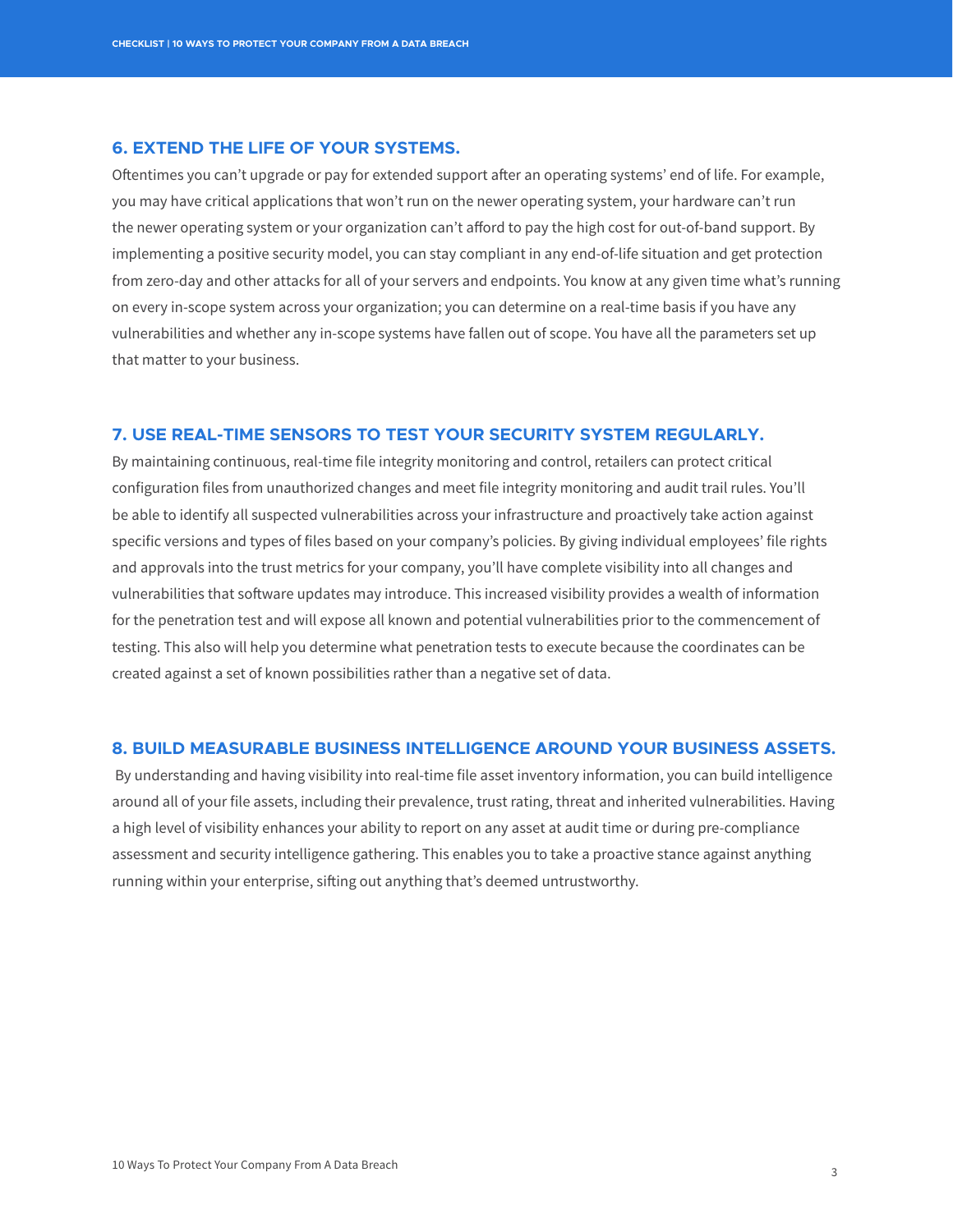#### **6. EXTEND THE LIFE OF YOUR SYSTEMS.**

Oftentimes you can't upgrade or pay for extended support after an operating systems' end of life. For example, you may have critical applications that won't run on the newer operating system, your hardware can't run the newer operating system or your organization can't afford to pay the high cost for out-of-band support. By implementing a positive security model, you can stay compliant in any end-of-life situation and get protection from zero-day and other attacks for all of your servers and endpoints. You know at any given time what's running on every in-scope system across your organization; you can determine on a real-time basis if you have any vulnerabilities and whether any in-scope systems have fallen out of scope. You have all the parameters set up that matter to your business.

#### **7. USE REAL-TIME SENSORS TO TEST YOUR SECURITY SYSTEM REGULARLY.**

By maintaining continuous, real-time file integrity monitoring and control, retailers can protect critical configuration files from unauthorized changes and meet file integrity monitoring and audit trail rules. You'll be able to identify all suspected vulnerabilities across your infrastructure and proactively take action against specific versions and types of files based on your company's policies. By giving individual employees' file rights and approvals into the trust metrics for your company, you'll have complete visibility into all changes and vulnerabilities that software updates may introduce. This increased visibility provides a wealth of information for the penetration test and will expose all known and potential vulnerabilities prior to the commencement of testing. This also will help you determine what penetration tests to execute because the coordinates can be created against a set of known possibilities rather than a negative set of data.

#### **8. BUILD MEASURABLE BUSINESS INTELLIGENCE AROUND YOUR BUSINESS ASSETS.**

 By understanding and having visibility into real-time file asset inventory information, you can build intelligence around all of your file assets, including their prevalence, trust rating, threat and inherited vulnerabilities. Having a high level of visibility enhances your ability to report on any asset at audit time or during pre-compliance assessment and security intelligence gathering. This enables you to take a proactive stance against anything running within your enterprise, sifting out anything that's deemed untrustworthy.